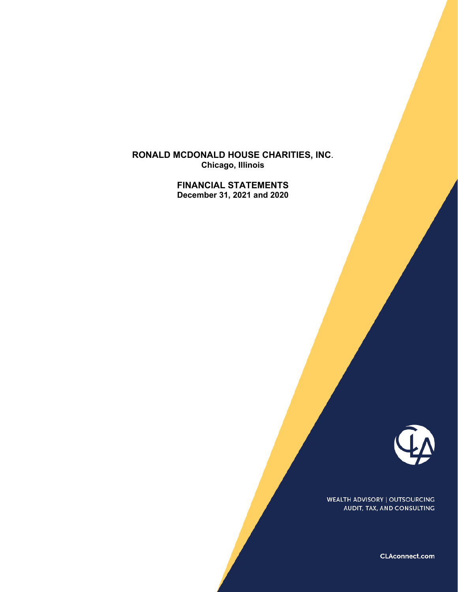**RONALD MCDONALD HOUSE CHARITIES, INC**. **Chicago, Illinois** 

> **FINANCIAL STATEMENTS December 31, 2021 and 2020**



WEALTH ADVISORY | OUTSOURCING AUDIT, TAX, AND CONSULTING

CLAconnect.com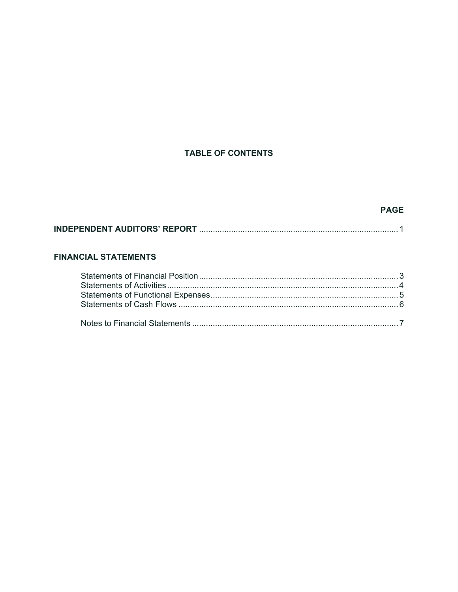# **TABLE OF CONTENTS**

## **PAGE**

# **FINANCIAL STATEMENTS**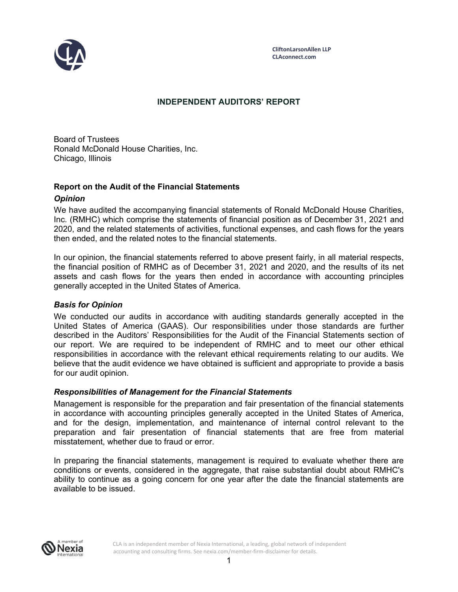

## **INDEPENDENT AUDITORS' REPORT**

Board of Trustees Ronald McDonald House Charities, Inc. Chicago, Illinois

## **Report on the Audit of the Financial Statements**

### *Opinion*

We have audited the accompanying financial statements of Ronald McDonald House Charities, Inc. (RMHC) which comprise the statements of financial position as of December 31, 2021 and 2020, and the related statements of activities, functional expenses, and cash flows for the years then ended, and the related notes to the financial statements.

In our opinion, the financial statements referred to above present fairly, in all material respects, the financial position of RMHC as of December 31, 2021 and 2020, and the results of its net assets and cash flows for the years then ended in accordance with accounting principles generally accepted in the United States of America.

### *Basis for Opinion*

We conducted our audits in accordance with auditing standards generally accepted in the United States of America (GAAS). Our responsibilities under those standards are further described in the Auditors' Responsibilities for the Audit of the Financial Statements section of our report. We are required to be independent of RMHC and to meet our other ethical responsibilities in accordance with the relevant ethical requirements relating to our audits. We believe that the audit evidence we have obtained is sufficient and appropriate to provide a basis for our audit opinion.

### *Responsibilities of Management for the Financial Statements*

Management is responsible for the preparation and fair presentation of the financial statements in accordance with accounting principles generally accepted in the United States of America, and for the design, implementation, and maintenance of internal control relevant to the preparation and fair presentation of financial statements that are free from material misstatement, whether due to fraud or error.

In preparing the financial statements, management is required to evaluate whether there are conditions or events, considered in the aggregate, that raise substantial doubt about RMHC's ability to continue as a going concern for one year after the date the financial statements are available to be issued.



CLA is an independent member of Nexia International, a leading, global network of independent accounting and consulting firms. See nexia.com/member-firm-disclaimer for details.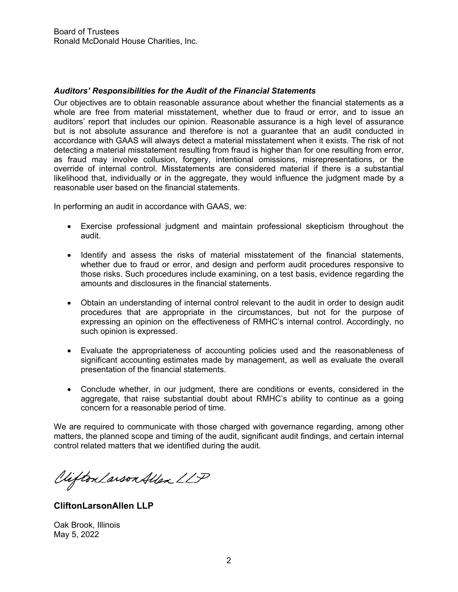### *Auditors' Responsibilities for the Audit of the Financial Statements*

Our objectives are to obtain reasonable assurance about whether the financial statements as a whole are free from material misstatement, whether due to fraud or error, and to issue an auditors' report that includes our opinion. Reasonable assurance is a high level of assurance but is not absolute assurance and therefore is not a guarantee that an audit conducted in accordance with GAAS will always detect a material misstatement when it exists. The risk of not detecting a material misstatement resulting from fraud is higher than for one resulting from error, as fraud may involve collusion, forgery, intentional omissions, misrepresentations, or the override of internal control. Misstatements are considered material if there is a substantial likelihood that, individually or in the aggregate, they would influence the judgment made by a reasonable user based on the financial statements.

In performing an audit in accordance with GAAS, we:

- Exercise professional judgment and maintain professional skepticism throughout the audit.
- Identify and assess the risks of material misstatement of the financial statements, whether due to fraud or error, and design and perform audit procedures responsive to those risks. Such procedures include examining, on a test basis, evidence regarding the amounts and disclosures in the financial statements.
- Obtain an understanding of internal control relevant to the audit in order to design audit procedures that are appropriate in the circumstances, but not for the purpose of expressing an opinion on the effectiveness of RMHC's internal control. Accordingly, no such opinion is expressed.
- Evaluate the appropriateness of accounting policies used and the reasonableness of significant accounting estimates made by management, as well as evaluate the overall presentation of the financial statements.
- Conclude whether, in our judgment, there are conditions or events, considered in the aggregate, that raise substantial doubt about RMHC's ability to continue as a going concern for a reasonable period of time.

We are required to communicate with those charged with governance regarding, among other matters, the planned scope and timing of the audit, significant audit findings, and certain internal control related matters that we identified during the audit.

Viifton Larson Allen LLP

**CliftonLarsonAllen LLP** 

Oak Brook, Illinois May 5, 2022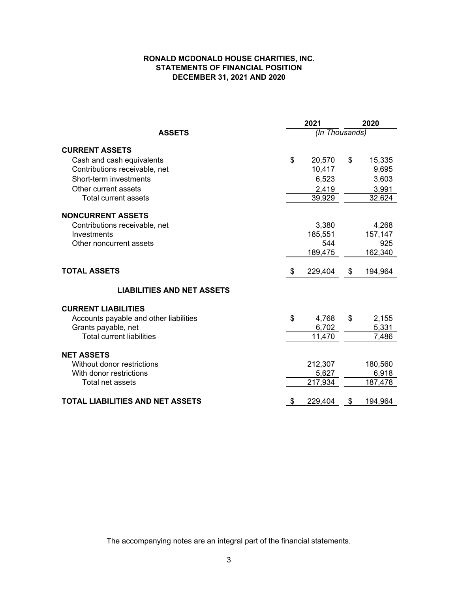#### **RONALD MCDONALD HOUSE CHARITIES, INC. STATEMENTS OF FINANCIAL POSITION DECEMBER 31, 2021 AND 2020**

|                                         | 2021           | 2020          |
|-----------------------------------------|----------------|---------------|
| <b>ASSETS</b>                           | (In Thousands) |               |
| <b>CURRENT ASSETS</b>                   |                |               |
| Cash and cash equivalents               | \$<br>20,570   | \$<br>15,335  |
| Contributions receivable, net           | 10,417         | 9,695         |
| Short-term investments                  | 6,523          | 3,603         |
| Other current assets                    | 2,419          | 3,991         |
| <b>Total current assets</b>             | 39,929         | 32,624        |
| <b>NONCURRENT ASSETS</b>                |                |               |
| Contributions receivable, net           | 3,380          | 4,268         |
| Investments                             | 185,551        | 157,147       |
| Other noncurrent assets                 | 544            | 925           |
|                                         | 189,475        | 162,340       |
| <b>TOTAL ASSETS</b>                     | \$<br>229,404  | \$<br>194,964 |
| <b>LIABILITIES AND NET ASSETS</b>       |                |               |
| <b>CURRENT LIABILITIES</b>              |                |               |
| Accounts payable and other liabilities  | \$<br>4,768    | \$<br>2,155   |
| Grants payable, net                     | 6,702          | 5,331         |
| <b>Total current liabilities</b>        | 11,470         | 7,486         |
| <b>NET ASSETS</b>                       |                |               |
| Without donor restrictions              | 212,307        | 180,560       |
| With donor restrictions                 | 5,627          | 6,918         |
| Total net assets                        | 217,934        | 187,478       |
| <b>TOTAL LIABILITIES AND NET ASSETS</b> | \$<br>229,404  | \$<br>194,964 |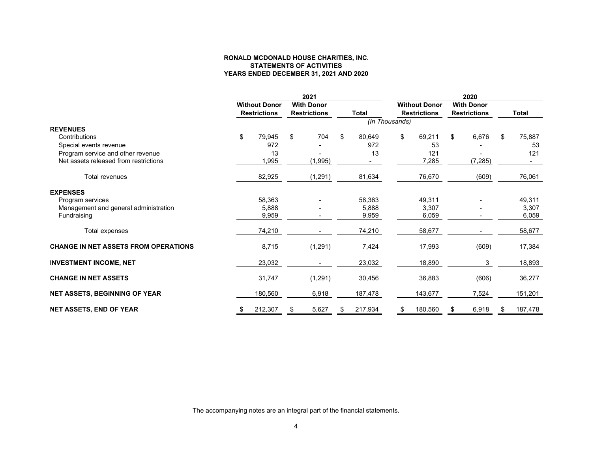#### **STATEMENTS OF ACTIVITIES YEARS ENDED DECEMBER 31, 2021 AND 2020 RONALD MCDONALD HOUSE CHARITIES, INC.**

|                                             |                      | 2021                |    | 2020         |                |                      |    |                     |    |              |  |
|---------------------------------------------|----------------------|---------------------|----|--------------|----------------|----------------------|----|---------------------|----|--------------|--|
|                                             | <b>Without Donor</b> | <b>With Donor</b>   |    |              |                | <b>Without Donor</b> |    | <b>With Donor</b>   |    |              |  |
|                                             | <b>Restrictions</b>  | <b>Restrictions</b> |    | <b>Total</b> |                | <b>Restrictions</b>  |    | <b>Restrictions</b> |    | <b>Total</b> |  |
|                                             |                      |                     |    |              | (In Thousands) |                      |    |                     |    |              |  |
| <b>REVENUES</b>                             |                      |                     |    |              |                |                      |    |                     |    |              |  |
| Contributions                               | \$<br>79,945         | \$<br>704           | \$ | 80,649       | \$             | 69,211               | \$ | 6,676               | S. | 75,887       |  |
| Special events revenue                      | 972                  |                     |    | 972          |                | 53                   |    |                     |    | 53           |  |
| Program service and other revenue           | 13                   |                     |    | 13           |                | 121                  |    |                     |    | 121          |  |
| Net assets released from restrictions       | 1,995                | (1,995)             |    |              |                | 7,285                |    | (7, 285)            |    |              |  |
| <b>Total revenues</b>                       | 82,925               | (1, 291)            |    | 81,634       |                | 76,670               |    | (609)               |    | 76,061       |  |
| <b>EXPENSES</b>                             |                      |                     |    |              |                |                      |    |                     |    |              |  |
| Program services                            | 58,363               |                     |    | 58,363       |                | 49,311               |    |                     |    | 49,311       |  |
| Management and general administration       | 5,888                |                     |    | 5,888        |                | 3,307                |    |                     |    | 3,307        |  |
| Fundraising                                 | 9,959                |                     |    | 9,959        |                | 6,059                |    |                     |    | 6,059        |  |
| Total expenses                              | 74,210               |                     |    | 74,210       |                | 58,677               |    |                     |    | 58,677       |  |
| <b>CHANGE IN NET ASSETS FROM OPERATIONS</b> | 8,715                | (1, 291)            |    | 7,424        |                | 17,993               |    | (609)               |    | 17,384       |  |
| <b>INVESTMENT INCOME, NET</b>               | 23,032               |                     |    | 23,032       |                | 18,890               |    | 3                   |    | 18,893       |  |
| <b>CHANGE IN NET ASSETS</b>                 | 31,747               | (1, 291)            |    | 30,456       |                | 36,883               |    | (606)               |    | 36,277       |  |
| <b>NET ASSETS, BEGINNING OF YEAR</b>        | 180,560              | 6,918               |    | 187,478      |                | 143,677              |    | 7,524               |    | 151,201      |  |
| <b>NET ASSETS, END OF YEAR</b>              | 212,307              | 5,627               | \$ | 217,934      | S.             | 180,560              |    | 6,918               |    | 187,478      |  |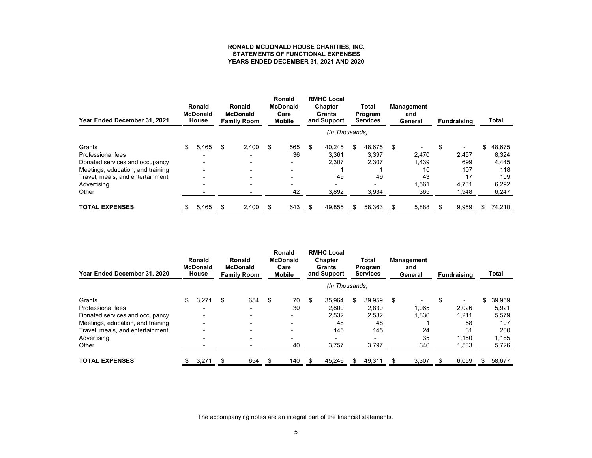#### **RONALD MCDONALD HOUSE CHARITIES, INC. STATEMENTS OF FUNCTIONAL EXPENSESYEARS ENDED DECEMBER 31, 2021 AND 2020**

| Year Ended December 31, 2021      |     | Ronald<br><b>McDonald</b><br>House |    | Ronald<br><b>McDonald</b><br><b>Family Room</b> |   | <b>Ronald</b><br><b>McDonald</b><br>Care<br><b>Mobile</b> |    | <b>RMHC Local</b><br><b>Chapter</b><br><b>Grants</b><br>and Support | Total<br>Program<br><b>Services</b> |        | <b>Management</b><br>and<br>General | <b>Fundraising</b>             |    | Total  |
|-----------------------------------|-----|------------------------------------|----|-------------------------------------------------|---|-----------------------------------------------------------|----|---------------------------------------------------------------------|-------------------------------------|--------|-------------------------------------|--------------------------------|----|--------|
|                                   |     |                                    |    |                                                 |   |                                                           |    | (In Thousands)                                                      |                                     |        |                                     |                                |    |        |
| Grants                            | \$. | 5,465                              | \$ | 2.400                                           | S | 565                                                       | \$ | 40.245                                                              | \$                                  | 48.675 | \$                                  | \$<br>$\overline{\phantom{0}}$ | \$ | 48,675 |
| Professional fees                 |     |                                    |    |                                                 |   | 36                                                        |    | 3,361                                                               |                                     | 3,397  | 2,470                               | 2.457                          |    | 8,324  |
| Donated services and occupancy    |     |                                    |    |                                                 |   | -                                                         |    | 2.307                                                               |                                     | 2,307  | 1,439                               | 699                            |    | 4,445  |
| Meetings, education, and training |     |                                    |    |                                                 |   |                                                           |    |                                                                     |                                     |        | 10                                  | 107                            |    | 118    |
| Travel, meals, and entertainment  |     |                                    |    |                                                 |   |                                                           |    | 49                                                                  |                                     | 49     | 43                                  | 17                             |    | 109    |
| Advertising                       |     |                                    |    |                                                 |   |                                                           |    |                                                                     |                                     |        | 1,561                               | 4.731                          |    | 6,292  |
| Other                             |     |                                    |    |                                                 |   | 42                                                        |    | 3,892                                                               |                                     | 3,934  | 365                                 | 1,948                          |    | 6,247  |
| <b>TOTAL EXPENSES</b>             |     | 5,465                              |    | 2,400                                           |   | 643                                                       |    | 49,855                                                              | S                                   | 58,363 | 5,888                               | 9,959                          | S  | 74,210 |

| Year Ended December 31, 2020      |     | <b>Ronald</b><br><b>McDonald</b><br>House | <b>RMHC Local</b><br><b>Ronald</b><br><b>McDonald</b><br>Chapter<br><b>Ronald</b><br><b>McDonald</b><br>Care<br><b>Grants</b><br>and Support<br><b>Mobile</b><br><b>Family Room</b> |     | Total<br><b>Management</b><br>Program<br>and<br><b>Services</b><br>General |     |    |                          |    | <b>Fundraising</b> |    |       | Total |                          |    |        |
|-----------------------------------|-----|-------------------------------------------|-------------------------------------------------------------------------------------------------------------------------------------------------------------------------------------|-----|----------------------------------------------------------------------------|-----|----|--------------------------|----|--------------------|----|-------|-------|--------------------------|----|--------|
|                                   |     |                                           |                                                                                                                                                                                     |     |                                                                            |     |    | (In Thousands)           |    |                    |    |       |       |                          |    |        |
| Grants                            | \$. | 3,271                                     | S                                                                                                                                                                                   | 654 | \$                                                                         | 70  | \$ | 35,964                   | \$ | 39,959             | \$ |       | \$    | $\overline{\phantom{0}}$ | \$ | 39,959 |
| Professional fees                 |     |                                           |                                                                                                                                                                                     |     |                                                                            | 30  |    | 2,800                    |    | 2,830              |    | 1,065 |       | 2.026                    |    | 5,921  |
| Donated services and occupancy    |     |                                           |                                                                                                                                                                                     |     |                                                                            |     |    | 2.532                    |    | 2,532              |    | 1,836 |       | 1.211                    |    | 5,579  |
| Meetings, education, and training |     |                                           |                                                                                                                                                                                     |     |                                                                            |     |    | 48                       |    | 48                 |    |       |       | 58                       |    | 107    |
| Travel, meals, and entertainment  |     |                                           |                                                                                                                                                                                     |     |                                                                            |     |    | 145                      |    | 145                |    | 24    |       | 31                       |    | 200    |
| Advertising                       |     |                                           |                                                                                                                                                                                     |     |                                                                            |     |    | $\overline{\phantom{0}}$ |    |                    |    | 35    |       | 1.150                    |    | 1,185  |
| Other                             |     |                                           |                                                                                                                                                                                     |     |                                                                            | 40  |    | 3,757                    |    | 3,797              |    | 346   |       | 1,583                    |    | 5,726  |
| <b>TOTAL EXPENSES</b>             |     | 3,271                                     |                                                                                                                                                                                     | 654 |                                                                            | 140 |    | 45,246                   | S  | 49,311             |    | 3,307 |       | 6,059                    | \$ | 58,677 |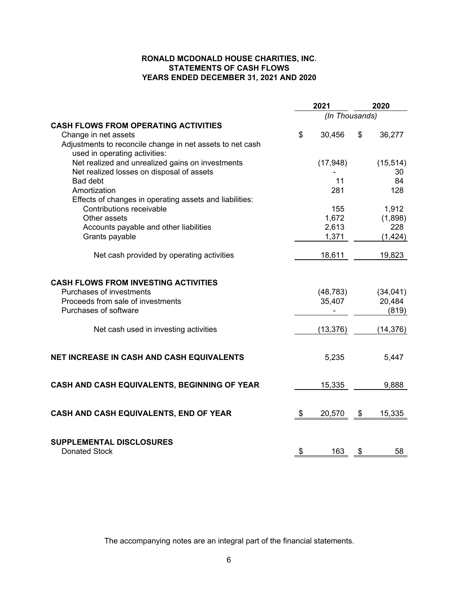### **RONALD MCDONALD HOUSE CHARITIES, INC. STATEMENTS OF CASH FLOWS YEARS ENDED DECEMBER 31, 2021 AND 2020**

|                                                                                                                                       | 2021                | 2020 |                              |  |  |
|---------------------------------------------------------------------------------------------------------------------------------------|---------------------|------|------------------------------|--|--|
|                                                                                                                                       | (In Thousands)      |      |                              |  |  |
| <b>CASH FLOWS FROM OPERATING ACTIVITIES</b>                                                                                           |                     |      |                              |  |  |
| Change in net assets                                                                                                                  | \$<br>30,456        | \$   | 36,277                       |  |  |
| Adjustments to reconcile change in net assets to net cash<br>used in operating activities:                                            |                     |      |                              |  |  |
| Net realized and unrealized gains on investments                                                                                      | (17, 948)           |      | (15, 514)                    |  |  |
| Net realized losses on disposal of assets                                                                                             |                     |      | 30                           |  |  |
| <b>Bad debt</b>                                                                                                                       | 11                  |      | 84                           |  |  |
| Amortization                                                                                                                          | 281                 |      | 128                          |  |  |
| Effects of changes in operating assets and liabilities:                                                                               |                     |      |                              |  |  |
| Contributions receivable                                                                                                              | 155                 |      | 1,912                        |  |  |
| Other assets                                                                                                                          | 1,672               |      | (1,898)                      |  |  |
| Accounts payable and other liabilities                                                                                                | 2,613               |      | 228                          |  |  |
| Grants payable                                                                                                                        | 1,371               |      | (1, 424)                     |  |  |
| Net cash provided by operating activities                                                                                             | 18,611              |      | 19,823                       |  |  |
| <b>CASH FLOWS FROM INVESTING ACTIVITIES</b><br>Purchases of investments<br>Proceeds from sale of investments<br>Purchases of software | (48, 783)<br>35,407 |      | (34, 041)<br>20,484<br>(819) |  |  |
| Net cash used in investing activities                                                                                                 | (13, 376)           |      | (14, 376)                    |  |  |
| NET INCREASE IN CASH AND CASH EQUIVALENTS                                                                                             | 5,235               |      | 5,447                        |  |  |
| CASH AND CASH EQUIVALENTS, BEGINNING OF YEAR                                                                                          | 15,335              |      | 9,888                        |  |  |
| CASH AND CASH EQUIVALENTS, END OF YEAR                                                                                                | \$<br>20,570        | \$   | 15,335                       |  |  |
| SUPPLEMENTAL DISCLOSURES<br><b>Donated Stock</b>                                                                                      | \$<br>163           | \$   | 58                           |  |  |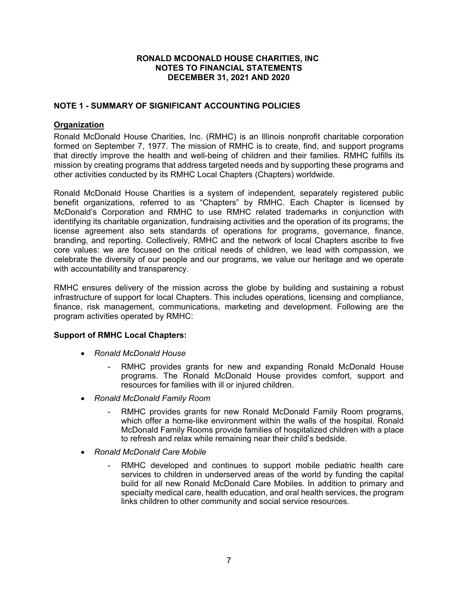## **NOTE 1 - SUMMARY OF SIGNIFICANT ACCOUNTING POLICIES**

### **Organization**

Ronald McDonald House Charities, Inc. (RMHC) is an Illinois nonprofit charitable corporation formed on September 7, 1977. The mission of RMHC is to create, find, and support programs that directly improve the health and well-being of children and their families. RMHC fulfills its mission by creating programs that address targeted needs and by supporting these programs and other activities conducted by its RMHC Local Chapters (Chapters) worldwide.

Ronald McDonald House Charities is a system of independent, separately registered public benefit organizations, referred to as "Chapters" by RMHC. Each Chapter is licensed by McDonald's Corporation and RMHC to use RMHC related trademarks in conjunction with identifying its charitable organization, fundraising activities and the operation of its programs; the license agreement also sets standards of operations for programs, governance, finance, branding, and reporting. Collectively, RMHC and the network of local Chapters ascribe to five core values: we are focused on the critical needs of children, we lead with compassion, we celebrate the diversity of our people and our programs, we value our heritage and we operate with accountability and transparency.

RMHC ensures delivery of the mission across the globe by building and sustaining a robust infrastructure of support for local Chapters. This includes operations, licensing and compliance, finance, risk management, communications, marketing and development. Following are the program activities operated by RMHC:

#### **Support of RMHC Local Chapters:**

- *Ronald McDonald House* 
	- RMHC provides grants for new and expanding Ronald McDonald House programs. The Ronald McDonald House provides comfort, support and resources for families with ill or injured children.
- *Ronald McDonald Family Room* 
	- RMHC provides grants for new Ronald McDonald Family Room programs, which offer a home-like environment within the walls of the hospital. Ronald McDonald Family Rooms provide families of hospitalized children with a place to refresh and relax while remaining near their child's bedside.
- *Ronald McDonald Care Mobile* 
	- RMHC developed and continues to support mobile pediatric health care services to children in underserved areas of the world by funding the capital build for all new Ronald McDonald Care Mobiles. In addition to primary and specialty medical care, health education, and oral health services, the program links children to other community and social service resources.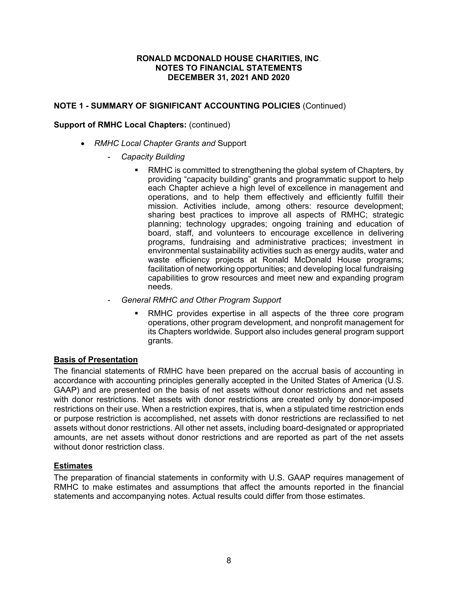## **NOTE 1 - SUMMARY OF SIGNIFICANT ACCOUNTING POLICIES** (Continued)

#### **Support of RMHC Local Chapters:** (continued)

- *RMHC Local Chapter Grants and* Support
	- *Capacity Building* 
		- RMHC is committed to strengthening the global system of Chapters, by providing "capacity building" grants and programmatic support to help each Chapter achieve a high level of excellence in management and operations, and to help them effectively and efficiently fulfill their mission. Activities include, among others: resource development; sharing best practices to improve all aspects of RMHC; strategic planning; technology upgrades; ongoing training and education of board, staff, and volunteers to encourage excellence in delivering programs, fundraising and administrative practices; investment in environmental sustainability activities such as energy audits, water and waste efficiency projects at Ronald McDonald House programs; facilitation of networking opportunities; and developing local fundraising capabilities to grow resources and meet new and expanding program needs.
	- *General RMHC and Other Program Support* 
		- RMHC provides expertise in all aspects of the three core program operations, other program development, and nonprofit management for its Chapters worldwide. Support also includes general program support grants.

### **Basis of Presentation**

The financial statements of RMHC have been prepared on the accrual basis of accounting in accordance with accounting principles generally accepted in the United States of America (U.S. GAAP) and are presented on the basis of net assets without donor restrictions and net assets with donor restrictions. Net assets with donor restrictions are created only by donor-imposed restrictions on their use. When a restriction expires, that is, when a stipulated time restriction ends or purpose restriction is accomplished, net assets with donor restrictions are reclassified to net assets without donor restrictions. All other net assets, including board-designated or appropriated amounts, are net assets without donor restrictions and are reported as part of the net assets without donor restriction class.

### **Estimates**

The preparation of financial statements in conformity with U.S. GAAP requires management of RMHC to make estimates and assumptions that affect the amounts reported in the financial statements and accompanying notes. Actual results could differ from those estimates.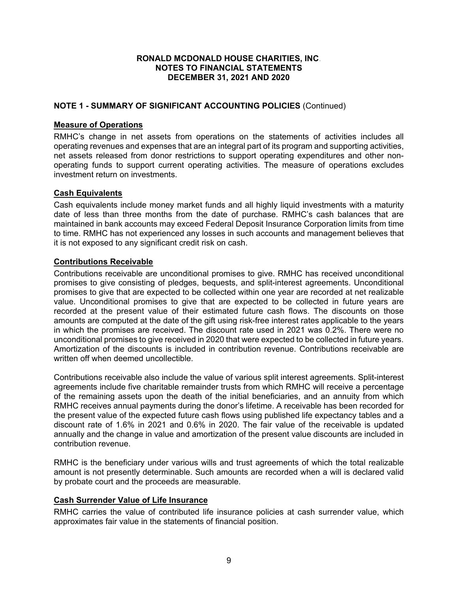## **NOTE 1 - SUMMARY OF SIGNIFICANT ACCOUNTING POLICIES** (Continued)

#### **Measure of Operations**

RMHC's change in net assets from operations on the statements of activities includes all operating revenues and expenses that are an integral part of its program and supporting activities, net assets released from donor restrictions to support operating expenditures and other nonoperating funds to support current operating activities. The measure of operations excludes investment return on investments.

#### **Cash Equivalents**

Cash equivalents include money market funds and all highly liquid investments with a maturity date of less than three months from the date of purchase. RMHC's cash balances that are maintained in bank accounts may exceed Federal Deposit Insurance Corporation limits from time to time. RMHC has not experienced any losses in such accounts and management believes that it is not exposed to any significant credit risk on cash.

#### **Contributions Receivable**

Contributions receivable are unconditional promises to give. RMHC has received unconditional promises to give consisting of pledges, bequests, and split-interest agreements. Unconditional promises to give that are expected to be collected within one year are recorded at net realizable value. Unconditional promises to give that are expected to be collected in future years are recorded at the present value of their estimated future cash flows. The discounts on those amounts are computed at the date of the gift using risk-free interest rates applicable to the years in which the promises are received. The discount rate used in 2021 was 0.2%. There were no unconditional promises to give received in 2020 that were expected to be collected in future years. Amortization of the discounts is included in contribution revenue. Contributions receivable are written off when deemed uncollectible.

Contributions receivable also include the value of various split interest agreements. Split-interest agreements include five charitable remainder trusts from which RMHC will receive a percentage of the remaining assets upon the death of the initial beneficiaries, and an annuity from which RMHC receives annual payments during the donor's lifetime. A receivable has been recorded for the present value of the expected future cash flows using published life expectancy tables and a discount rate of 1.6% in 2021 and 0.6% in 2020. The fair value of the receivable is updated annually and the change in value and amortization of the present value discounts are included in contribution revenue.

RMHC is the beneficiary under various wills and trust agreements of which the total realizable amount is not presently determinable. Such amounts are recorded when a will is declared valid by probate court and the proceeds are measurable.

#### **Cash Surrender Value of Life Insurance**

RMHC carries the value of contributed life insurance policies at cash surrender value, which approximates fair value in the statements of financial position.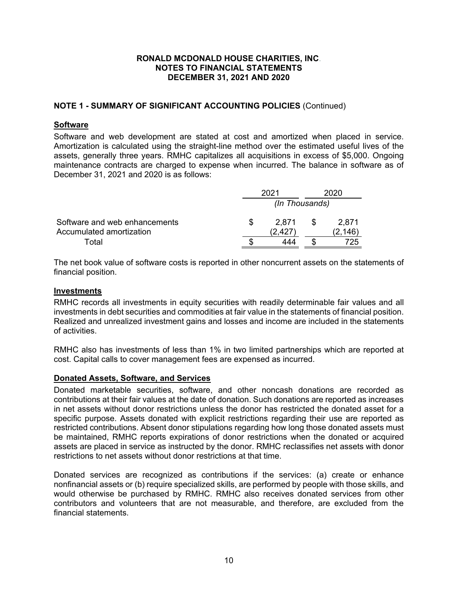## **NOTE 1 - SUMMARY OF SIGNIFICANT ACCOUNTING POLICIES** (Continued)

#### **Software**

Software and web development are stated at cost and amortized when placed in service. Amortization is calculated using the straight-line method over the estimated useful lives of the assets, generally three years. RMHC capitalizes all acquisitions in excess of \$5,000. Ongoing maintenance contracts are charged to expense when incurred. The balance in software as of December 31, 2021 and 2020 is as follows:

|                               |  | 2021  |  | 2020     |  |  |  |  |
|-------------------------------|--|-------|--|----------|--|--|--|--|
|                               |  |       |  |          |  |  |  |  |
| Software and web enhancements |  | 2.871 |  | 2.871    |  |  |  |  |
| Accumulated amortization      |  | 2.427 |  | (2, 146) |  |  |  |  |
| Total                         |  | 444   |  | 725      |  |  |  |  |

The net book value of software costs is reported in other noncurrent assets on the statements of financial position.

#### **Investments**

RMHC records all investments in equity securities with readily determinable fair values and all investments in debt securities and commodities at fair value in the statements of financial position. Realized and unrealized investment gains and losses and income are included in the statements of activities.

RMHC also has investments of less than 1% in two limited partnerships which are reported at cost. Capital calls to cover management fees are expensed as incurred.

#### **Donated Assets, Software, and Services**

Donated marketable securities, software, and other noncash donations are recorded as contributions at their fair values at the date of donation. Such donations are reported as increases in net assets without donor restrictions unless the donor has restricted the donated asset for a specific purpose. Assets donated with explicit restrictions regarding their use are reported as restricted contributions. Absent donor stipulations regarding how long those donated assets must be maintained, RMHC reports expirations of donor restrictions when the donated or acquired assets are placed in service as instructed by the donor. RMHC reclassifies net assets with donor restrictions to net assets without donor restrictions at that time.

Donated services are recognized as contributions if the services: (a) create or enhance nonfinancial assets or (b) require specialized skills, are performed by people with those skills, and would otherwise be purchased by RMHC. RMHC also receives donated services from other contributors and volunteers that are not measurable, and therefore, are excluded from the financial statements.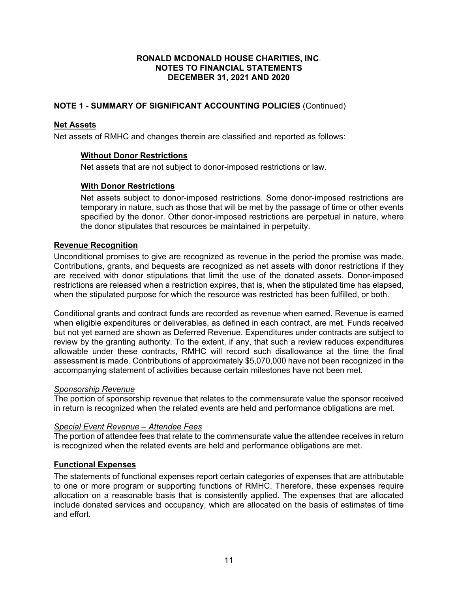## **NOTE 1 - SUMMARY OF SIGNIFICANT ACCOUNTING POLICIES** (Continued)

### **Net Assets**

Net assets of RMHC and changes therein are classified and reported as follows:

### **Without Donor Restrictions**

Net assets that are not subject to donor-imposed restrictions or law.

### **With Donor Restrictions**

Net assets subject to donor-imposed restrictions. Some donor-imposed restrictions are temporary in nature, such as those that will be met by the passage of time or other events specified by the donor. Other donor-imposed restrictions are perpetual in nature, where the donor stipulates that resources be maintained in perpetuity.

### **Revenue Recognition**

Unconditional promises to give are recognized as revenue in the period the promise was made. Contributions, grants, and bequests are recognized as net assets with donor restrictions if they are received with donor stipulations that limit the use of the donated assets. Donor-imposed restrictions are released when a restriction expires, that is, when the stipulated time has elapsed, when the stipulated purpose for which the resource was restricted has been fulfilled, or both.

Conditional grants and contract funds are recorded as revenue when earned. Revenue is earned when eligible expenditures or deliverables, as defined in each contract, are met. Funds received but not yet earned are shown as Deferred Revenue. Expenditures under contracts are subject to review by the granting authority. To the extent, if any, that such a review reduces expenditures allowable under these contracts, RMHC will record such disallowance at the time the final assessment is made. Contributions of approximately \$5,070,000 have not been recognized in the accompanying statement of activities because certain milestones have not been met.

## *Sponsorship Revenue*

The portion of sponsorship revenue that relates to the commensurate value the sponsor received in return is recognized when the related events are held and performance obligations are met.

### *Special Event Revenue – Attendee Fees*

The portion of attendee fees that relate to the commensurate value the attendee receives in return is recognized when the related events are held and performance obligations are met.

### **Functional Expenses**

The statements of functional expenses report certain categories of expenses that are attributable to one or more program or supporting functions of RMHC. Therefore, these expenses require allocation on a reasonable basis that is consistently applied. The expenses that are allocated include donated services and occupancy, which are allocated on the basis of estimates of time and effort.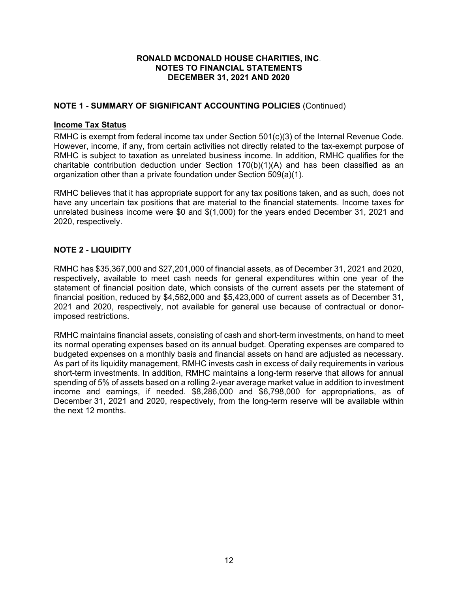## **NOTE 1 - SUMMARY OF SIGNIFICANT ACCOUNTING POLICIES** (Continued)

### **Income Tax Status**

RMHC is exempt from federal income tax under Section 501(c)(3) of the Internal Revenue Code. However, income, if any, from certain activities not directly related to the tax-exempt purpose of RMHC is subject to taxation as unrelated business income. In addition, RMHC qualifies for the charitable contribution deduction under Section 170(b)(1)(A) and has been classified as an organization other than a private foundation under Section 509(a)(1).

RMHC believes that it has appropriate support for any tax positions taken, and as such, does not have any uncertain tax positions that are material to the financial statements. Income taxes for unrelated business income were \$0 and \$(1,000) for the years ended December 31, 2021 and 2020, respectively.

#### **NOTE 2 - LIQUIDITY**

RMHC has \$35,367,000 and \$27,201,000 of financial assets, as of December 31, 2021 and 2020, respectively, available to meet cash needs for general expenditures within one year of the statement of financial position date, which consists of the current assets per the statement of financial position, reduced by \$4,562,000 and \$5,423,000 of current assets as of December 31, 2021 and 2020, respectively, not available for general use because of contractual or donorimposed restrictions.

RMHC maintains financial assets, consisting of cash and short-term investments, on hand to meet its normal operating expenses based on its annual budget. Operating expenses are compared to budgeted expenses on a monthly basis and financial assets on hand are adjusted as necessary. As part of its liquidity management, RMHC invests cash in excess of daily requirements in various short-term investments. In addition, RMHC maintains a long-term reserve that allows for annual spending of 5% of assets based on a rolling 2-year average market value in addition to investment income and earnings, if needed. \$8,286,000 and \$6,798,000 for appropriations, as of December 31, 2021 and 2020, respectively, from the long-term reserve will be available within the next 12 months.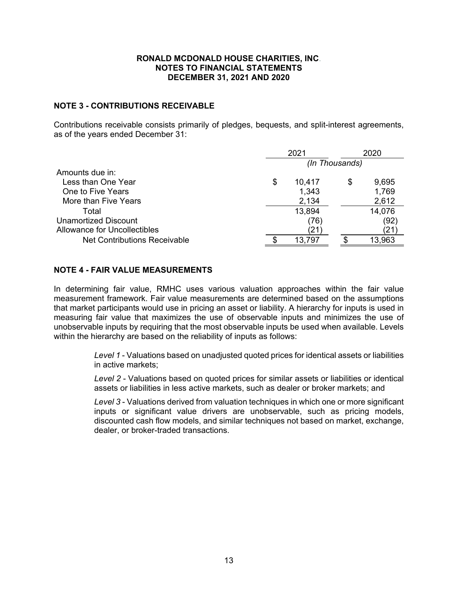#### **NOTE 3 - CONTRIBUTIONS RECEIVABLE**

Contributions receivable consists primarily of pledges, bequests, and split-interest agreements, as of the years ended December 31:

|                                     |   | 2021   |                | 2020   |
|-------------------------------------|---|--------|----------------|--------|
|                                     |   |        | (In Thousands) |        |
| Amounts due in:                     |   |        |                |        |
| Less than One Year                  | S | 10,417 | \$             | 9,695  |
| One to Five Years                   |   | 1,343  |                | 1,769  |
| More than Five Years                |   | 2,134  |                | 2,612  |
| Total                               |   | 13,894 |                | 14,076 |
| Unamortized Discount                |   | (76)   |                | (92)   |
| Allowance for Uncollectibles        |   |        |                | 21     |
| <b>Net Contributions Receivable</b> |   | 13,797 |                | 13,963 |

#### **NOTE 4 - FAIR VALUE MEASUREMENTS**

In determining fair value, RMHC uses various valuation approaches within the fair value measurement framework. Fair value measurements are determined based on the assumptions that market participants would use in pricing an asset or liability. A hierarchy for inputs is used in measuring fair value that maximizes the use of observable inputs and minimizes the use of unobservable inputs by requiring that the most observable inputs be used when available. Levels within the hierarchy are based on the reliability of inputs as follows:

> *Level 1* - Valuations based on unadjusted quoted prices for identical assets or liabilities in active markets;

> *Level 2* - Valuations based on quoted prices for similar assets or liabilities or identical assets or liabilities in less active markets, such as dealer or broker markets; and

> *Level 3* - Valuations derived from valuation techniques in which one or more significant inputs or significant value drivers are unobservable, such as pricing models, discounted cash flow models, and similar techniques not based on market, exchange, dealer, or broker-traded transactions.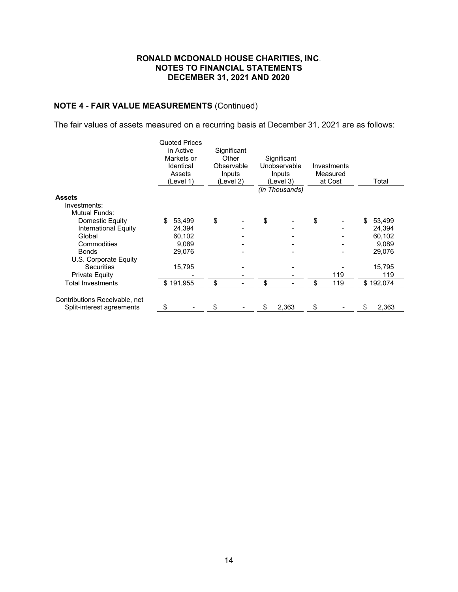## **NOTE 4 - FAIR VALUE MEASUREMENTS** (Continued)

The fair values of assets measured on a recurring basis at December 31, 2021 are as follows:

|                               |           | <b>Quoted Prices</b> |             |    |                |             |              |
|-------------------------------|-----------|----------------------|-------------|----|----------------|-------------|--------------|
|                               |           | in Active            | Significant |    |                |             |              |
|                               |           | Markets or           | Other       |    | Significant    |             |              |
|                               |           | Identical            | Observable  |    | Unobservable   | Investments |              |
|                               |           | Assets               | Inputs      |    | Inputs         | Measured    |              |
|                               |           | (Level 1)            | (Level 2)   |    | (Level 3)      | at Cost     | Total        |
|                               |           |                      |             |    | (In Thousands) |             |              |
| <b>Assets</b>                 |           |                      |             |    |                |             |              |
| Investments:                  |           |                      |             |    |                |             |              |
| <b>Mutual Funds:</b>          |           |                      |             |    |                |             |              |
| Domestic Equity               | \$        | 53,499               | \$          | \$ |                | \$          | \$<br>53,499 |
| International Equity          |           | 24,394               |             |    |                |             | 24,394       |
| Global                        |           | 60,102               |             |    |                |             | 60,102       |
| Commodities                   |           | 9,089                |             |    |                |             | 9,089        |
| <b>Bonds</b>                  |           | 29,076               |             |    |                |             | 29,076       |
| U.S. Corporate Equity         |           |                      |             |    |                |             |              |
| <b>Securities</b>             |           | 15,795               |             |    |                |             | 15,795       |
| <b>Private Equity</b>         |           |                      |             |    |                | 119         | 119          |
| <b>Total Investments</b>      | \$191,955 |                      | \$          | \$ |                | \$<br>119   | \$192,074    |
| Contributions Receivable, net |           |                      |             |    |                |             |              |
| Split-interest agreements     | \$        |                      | \$          | S  | 2,363          | \$          | \$<br>2,363  |
|                               |           |                      |             |    |                |             |              |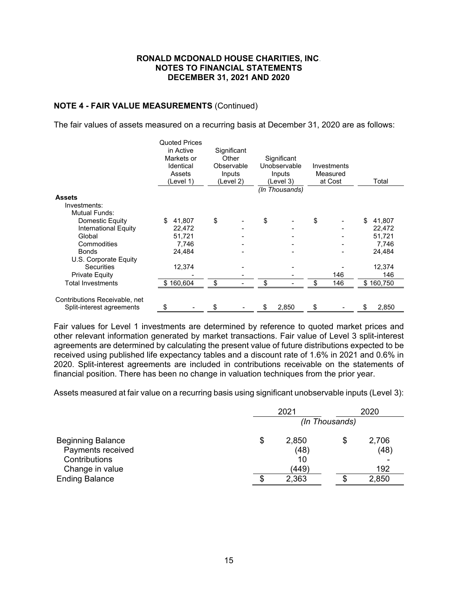### **NOTE 4 - FAIR VALUE MEASUREMENTS** (Continued)

The fair values of assets measured on a recurring basis at December 31, 2020 are as follows:

|                               | <b>Quoted Prices</b> |             |    |                |             |              |
|-------------------------------|----------------------|-------------|----|----------------|-------------|--------------|
|                               | in Active            | Significant |    |                |             |              |
|                               | Markets or           | Other       |    | Significant    |             |              |
|                               | Identical            | Observable  |    | Unobservable   | Investments |              |
|                               | Assets               | Inputs      |    | Inputs         | Measured    |              |
|                               | (Level 1)            | (Level 2)   |    | (Level 3)      | at Cost     | Total        |
|                               |                      |             |    | (In Thousands) |             |              |
| <b>Assets</b>                 |                      |             |    |                |             |              |
| Investments:                  |                      |             |    |                |             |              |
| <b>Mutual Funds:</b>          |                      |             |    |                |             |              |
| Domestic Equity               | \$<br>41,807         | \$          | \$ |                | \$          | \$<br>41,807 |
| International Equity          | 22,472               |             |    |                |             | 22,472       |
| Global                        | 51,721               |             |    |                |             | 51,721       |
| Commodities                   | 7,746                |             |    |                |             | 7,746        |
| <b>Bonds</b>                  | 24,484               |             |    |                |             | 24,484       |
| U.S. Corporate Equity         |                      |             |    |                |             |              |
| <b>Securities</b>             | 12,374               |             |    |                |             | 12,374       |
| <b>Private Equity</b>         |                      |             |    |                | 146         | 146          |
| <b>Total Investments</b>      | \$160,604            | \$          | \$ |                | \$<br>146   | \$160,750    |
| Contributions Receivable, net |                      |             |    |                |             |              |
| Split-interest agreements     | \$                   | \$          | S  | 2,850          | \$          | \$<br>2,850  |

Fair values for Level 1 investments are determined by reference to quoted market prices and other relevant information generated by market transactions. Fair value of Level 3 split-interest agreements are determined by calculating the present value of future distributions expected to be received using published life expectancy tables and a discount rate of 1.6% in 2021 and 0.6% in 2020. Split-interest agreements are included in contributions receivable on the statements of financial position. There has been no change in valuation techniques from the prior year.

Assets measured at fair value on a recurring basis using significant unobservable inputs (Level 3):

|                          | 2021           | 2020        |
|--------------------------|----------------|-------------|
|                          | (In Thousands) |             |
| <b>Beginning Balance</b> | \$<br>2,850    | \$<br>2,706 |
| Payments received        | (48)           | (48)        |
| Contributions            | 10             |             |
| Change in value          | (449)          | 192         |
| <b>Ending Balance</b>    | \$<br>2,363    | 2,850       |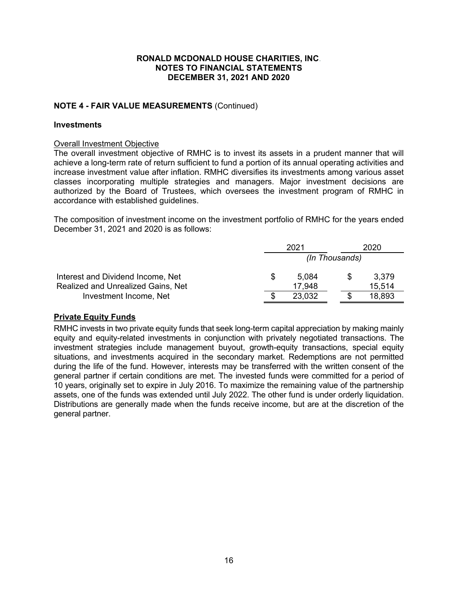### **NOTE 4 - FAIR VALUE MEASUREMENTS** (Continued)

#### **Investments**

#### Overall Investment Objective

The overall investment objective of RMHC is to invest its assets in a prudent manner that will achieve a long-term rate of return sufficient to fund a portion of its annual operating activities and increase investment value after inflation. RMHC diversifies its investments among various asset classes incorporating multiple strategies and managers. Major investment decisions are authorized by the Board of Trustees, which oversees the investment program of RMHC in accordance with established guidelines.

The composition of investment income on the investment portfolio of RMHC for the years ended December 31, 2021 and 2020 is as follows:

|                                                                                | 2021                  |  | 2020            |  |
|--------------------------------------------------------------------------------|-----------------------|--|-----------------|--|
|                                                                                | (In Thousands)        |  |                 |  |
| Interest and Dividend Income, Net<br><b>Realized and Unrealized Gains, Net</b> | \$<br>5,084<br>17,948 |  | 3,379<br>15,514 |  |
| Investment Income, Net                                                         | 23,032                |  | 18,893          |  |

#### **Private Equity Funds**

RMHC invests in two private equity funds that seek long-term capital appreciation by making mainly equity and equity-related investments in conjunction with privately negotiated transactions. The investment strategies include management buyout, growth-equity transactions, special equity situations, and investments acquired in the secondary market. Redemptions are not permitted during the life of the fund. However, interests may be transferred with the written consent of the general partner if certain conditions are met. The invested funds were committed for a period of 10 years, originally set to expire in July 2016. To maximize the remaining value of the partnership assets, one of the funds was extended until July 2022. The other fund is under orderly liquidation. Distributions are generally made when the funds receive income, but are at the discretion of the general partner.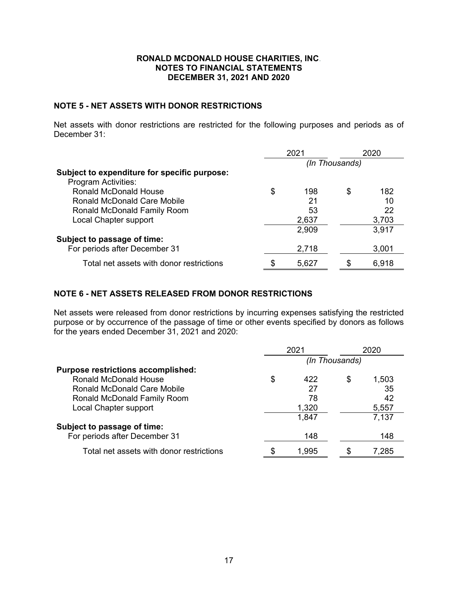#### **NOTE 5 - NET ASSETS WITH DONOR RESTRICTIONS**

Net assets with donor restrictions are restricted for the following purposes and periods as of December 31:

|                                              | 2021           |       | 2020 |       |
|----------------------------------------------|----------------|-------|------|-------|
|                                              | (In Thousands) |       |      |       |
| Subject to expenditure for specific purpose: |                |       |      |       |
| <b>Program Activities:</b>                   |                |       |      |       |
| <b>Ronald McDonald House</b>                 | \$             | 198   | S    | 182   |
| <b>Ronald McDonald Care Mobile</b>           |                | 21    |      | 10    |
| Ronald McDonald Family Room                  |                | 53    |      | 22    |
| Local Chapter support                        |                | 2,637 |      | 3,703 |
|                                              |                | 2,909 |      | 3,917 |
| Subject to passage of time:                  |                |       |      |       |
| For periods after December 31                |                | 2,718 |      | 3,001 |
| Total net assets with donor restrictions     | \$             | 5,627 |      | 6,918 |

## **NOTE 6 - NET ASSETS RELEASED FROM DONOR RESTRICTIONS**

Net assets were released from donor restrictions by incurring expenses satisfying the restricted purpose or by occurrence of the passage of time or other events specified by donors as follows for the years ended December 31, 2021 and 2020:

|                                           | 2021           |       |   | 2020  |  |
|-------------------------------------------|----------------|-------|---|-------|--|
|                                           | (In Thousands) |       |   |       |  |
| <b>Purpose restrictions accomplished:</b> |                |       |   |       |  |
| Ronald McDonald House                     | \$             | 422   | S | 1,503 |  |
| Ronald McDonald Care Mobile               |                | 27    |   | 35    |  |
| Ronald McDonald Family Room               |                | 78    |   | 42    |  |
| Local Chapter support                     |                | 1,320 |   | 5,557 |  |
|                                           |                | 1,847 |   | 7,137 |  |
| Subject to passage of time:               |                |       |   |       |  |
| For periods after December 31             |                | 148   |   | 148   |  |
| Total net assets with donor restrictions  | S              | 1,995 |   | 7.285 |  |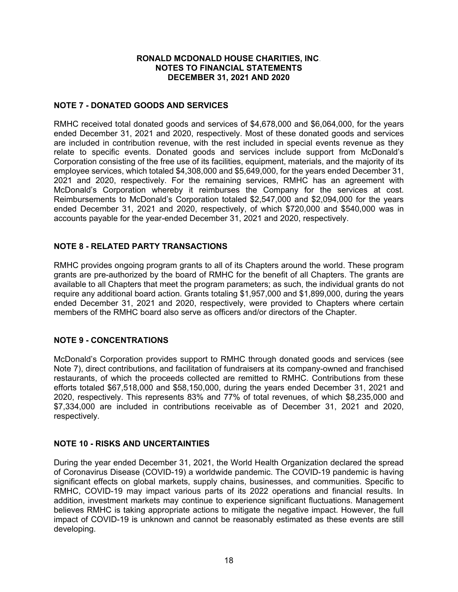### **NOTE 7 - DONATED GOODS AND SERVICES**

RMHC received total donated goods and services of \$4,678,000 and \$6,064,000, for the years ended December 31, 2021 and 2020, respectively. Most of these donated goods and services are included in contribution revenue, with the rest included in special events revenue as they relate to specific events. Donated goods and services include support from McDonald's Corporation consisting of the free use of its facilities, equipment, materials, and the majority of its employee services, which totaled \$4,308,000 and \$5,649,000, for the years ended December 31, 2021 and 2020, respectively. For the remaining services, RMHC has an agreement with McDonald's Corporation whereby it reimburses the Company for the services at cost. Reimbursements to McDonald's Corporation totaled \$2,547,000 and \$2,094,000 for the years ended December 31, 2021 and 2020, respectively, of which \$720,000 and \$540,000 was in accounts payable for the year-ended December 31, 2021 and 2020, respectively.

## **NOTE 8 - RELATED PARTY TRANSACTIONS**

RMHC provides ongoing program grants to all of its Chapters around the world. These program grants are pre-authorized by the board of RMHC for the benefit of all Chapters. The grants are available to all Chapters that meet the program parameters; as such, the individual grants do not require any additional board action. Grants totaling \$1,957,000 and \$1,899,000, during the years ended December 31, 2021 and 2020, respectively, were provided to Chapters where certain members of the RMHC board also serve as officers and/or directors of the Chapter.

### **NOTE 9 - CONCENTRATIONS**

McDonald's Corporation provides support to RMHC through donated goods and services (see Note 7), direct contributions, and facilitation of fundraisers at its company-owned and franchised restaurants, of which the proceeds collected are remitted to RMHC. Contributions from these efforts totaled \$67,518,000 and \$58,150,000, during the years ended December 31, 2021 and 2020, respectively. This represents 83% and 77% of total revenues, of which \$8,235,000 and \$7,334,000 are included in contributions receivable as of December 31, 2021 and 2020, respectively.

### **NOTE 10 - RISKS AND UNCERTAINTIES**

During the year ended December 31, 2021, the World Health Organization declared the spread of Coronavirus Disease (COVID-19) a worldwide pandemic. The COVID-19 pandemic is having significant effects on global markets, supply chains, businesses, and communities. Specific to RMHC, COVID-19 may impact various parts of its 2022 operations and financial results. In addition, investment markets may continue to experience significant fluctuations. Management believes RMHC is taking appropriate actions to mitigate the negative impact. However, the full impact of COVID-19 is unknown and cannot be reasonably estimated as these events are still developing.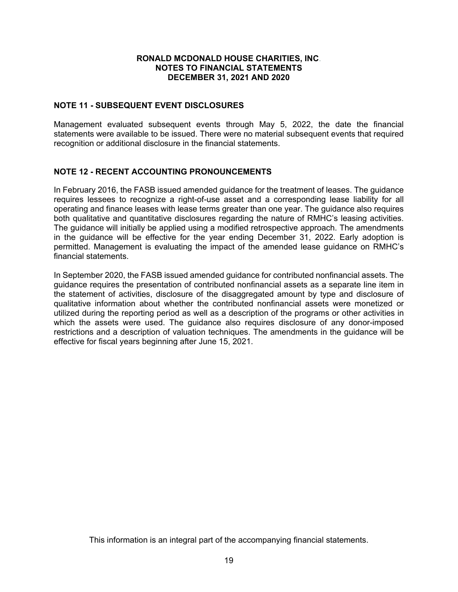### **NOTE 11 - SUBSEQUENT EVENT DISCLOSURES**

Management evaluated subsequent events through May 5, 2022, the date the financial statements were available to be issued. There were no material subsequent events that required recognition or additional disclosure in the financial statements.

### **NOTE 12 - RECENT ACCOUNTING PRONOUNCEMENTS**

In February 2016, the FASB issued amended guidance for the treatment of leases. The guidance requires lessees to recognize a right-of-use asset and a corresponding lease liability for all operating and finance leases with lease terms greater than one year. The guidance also requires both qualitative and quantitative disclosures regarding the nature of RMHC's leasing activities. The guidance will initially be applied using a modified retrospective approach. The amendments in the guidance will be effective for the year ending December 31, 2022. Early adoption is permitted. Management is evaluating the impact of the amended lease guidance on RMHC's financial statements.

In September 2020, the FASB issued amended guidance for contributed nonfinancial assets. The guidance requires the presentation of contributed nonfinancial assets as a separate line item in the statement of activities, disclosure of the disaggregated amount by type and disclosure of qualitative information about whether the contributed nonfinancial assets were monetized or utilized during the reporting period as well as a description of the programs or other activities in which the assets were used. The guidance also requires disclosure of any donor-imposed restrictions and a description of valuation techniques. The amendments in the guidance will be effective for fiscal years beginning after June 15, 2021.

This information is an integral part of the accompanying financial statements.